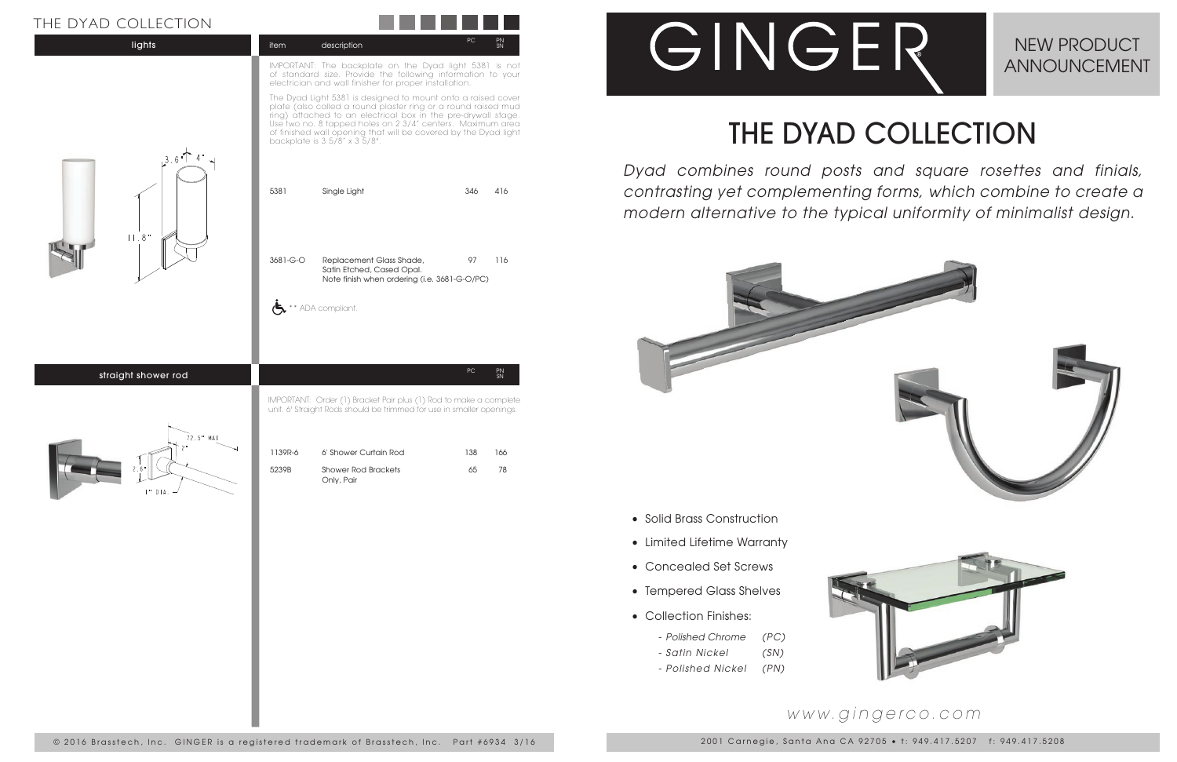

## THE DYAD COLLECTION



*Dyad combines round posts and square rosettes and finials, contrasting yet complementing forms, which combine to create a modern alternative to the typical uniformity of minimalist design.*



#### NEW PRODUCT ANNOUNCEMENT

2001 Carnegie, Santa Ana CA 92705 • t: 949.417.5207 f: 949.417.5208

### *www.gingerco.com*

#### THE DYAD COLLECTION

- Solid Brass Construction
- Limited Lifetime Warranty
- Concealed Set Screws
- Tempered Glass Shelves
- Collection Finishes:
	- *Polished Chrome (PC)*
	- *Satin Nickel (SN)*
	- *Polished Nickel (PN)*

| ETION<br>JLLE<br>$-1$ |             |             |           |          |
|-----------------------|-------------|-------------|-----------|----------|
| lights                | <b>item</b> | description | <b>PC</b> | PN<br>SN |
|                       |             |             |           |          |

IMPORTANT: The backplate on the Dyad light 5381 is not of standard size. Provide the following information to your electrician and wall finisher for proper installation.

The Dyad Light 5381 is designed to mount onto a raised cover plate (also called a round plaster ring or a round raised mud ring) attached to an electrical box in the pre-drywall stage. Use two no. 8 tapped holes on 2 3/4" centers. Maximum area of finished wall opening that will be covered by the Dyad light backplate is 3 5/8" x 3 5/8".

| $3.6$ T             | 5381     | Single Light                                                                                                                               | 346  | 416             |
|---------------------|----------|--------------------------------------------------------------------------------------------------------------------------------------------|------|-----------------|
| 11.8"               | 3681-G-O | Replacement Glass Shade,<br>Satin Etched, Cased Opal.<br>Note finish when ordering (i.e. 3681-G-O/PC)<br>** ADA compliant.                 | 97   | 116             |
| straight shower rod |          | IMPORTANT: Order (1) Bracket Pair plus (1) Rod to make a complete<br>unit. 6' Straight Rods should be trimmed for use in smaller openings. | $PC$ | $\frac{PN}{SN}$ |

72.5" MAX

| 1139R-6 | 6' Shower Curtain Rod             | 138. | 166. |
|---------|-----------------------------------|------|------|
| 5239B   | Shower Rod Brackets<br>Only, Pair | 65   | 78   |

# GINGER